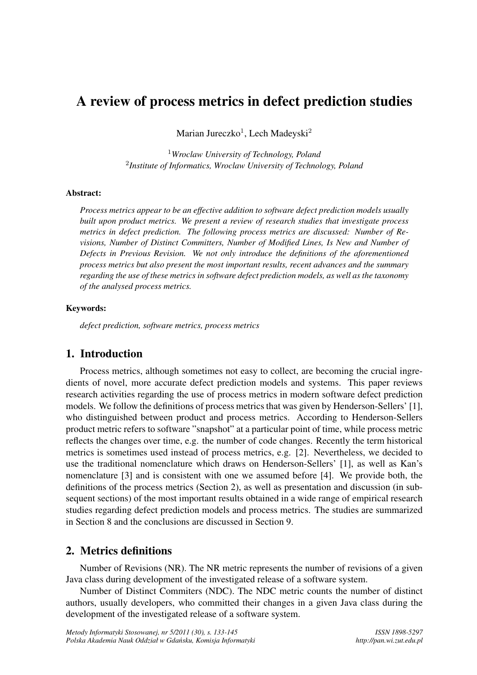# A review of process metrics in defect prediction studies

Marian Jureczko<sup>1</sup>, Lech Madeyski<sup>2</sup>

<sup>1</sup>*Wroclaw University of Technology, Poland* <sup>2</sup>*Institute of Informatics, Wroclaw University of Technology, Poland*

#### Abstract:

*Process metrics appear to be an effective addition to software defect prediction models usually built upon product metrics. We present a review of research studies that investigate process metrics in defect prediction. The following process metrics are discussed: Number of Revisions, Number of Distinct Committers, Number of Modified Lines, Is New and Number of Defects in Previous Revision. We not only introduce the definitions of the aforementioned process metrics but also present the most important results, recent advances and the summary regarding the use of these metrics in software defect prediction models, as well as the taxonomy of the analysed process metrics.*

#### Keywords:

*defect prediction, software metrics, process metrics*

# 1. Introduction

Process metrics, although sometimes not easy to collect, are becoming the crucial ingredients of novel, more accurate defect prediction models and systems. This paper reviews research activities regarding the use of process metrics in modern software defect prediction models. We follow the definitions of process metrics that was given by Henderson-Sellers' [1], who distinguished between product and process metrics. According to Henderson-Sellers product metric refers to software "snapshot" at a particular point of time, while process metric reflects the changes over time, e.g. the number of code changes. Recently the term historical metrics is sometimes used instead of process metrics, e.g. [2]. Nevertheless, we decided to use the traditional nomenclature which draws on Henderson-Sellers' [1], as well as Kan's nomenclature [3] and is consistent with one we assumed before [4]. We provide both, the definitions of the process metrics (Section 2), as well as presentation and discussion (in subsequent sections) of the most important results obtained in a wide range of empirical research studies regarding defect prediction models and process metrics. The studies are summarized in Section 8 and the conclusions are discussed in Section 9.

# 2. Metrics definitions

Number of Revisions (NR). The NR metric represents the number of revisions of a given Java class during development of the investigated release of a software system.

Number of Distinct Commiters (NDC). The NDC metric counts the number of distinct authors, usually developers, who committed their changes in a given Java class during the development of the investigated release of a software system.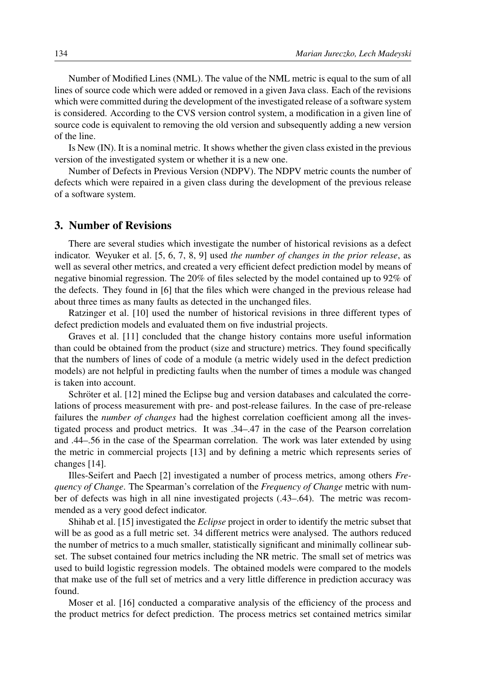Number of Modified Lines (NML). The value of the NML metric is equal to the sum of all lines of source code which were added or removed in a given Java class. Each of the revisions which were committed during the development of the investigated release of a software system is considered. According to the CVS version control system, a modification in a given line of source code is equivalent to removing the old version and subsequently adding a new version of the line.

Is New (IN). It is a nominal metric. It shows whether the given class existed in the previous version of the investigated system or whether it is a new one.

Number of Defects in Previous Version (NDPV). The NDPV metric counts the number of defects which were repaired in a given class during the development of the previous release of a software system.

## 3. Number of Revisions

There are several studies which investigate the number of historical revisions as a defect indicator. Weyuker et al. [5, 6, 7, 8, 9] used *the number of changes in the prior release*, as well as several other metrics, and created a very efficient defect prediction model by means of negative binomial regression. The 20% of files selected by the model contained up to 92% of the defects. They found in [6] that the files which were changed in the previous release had about three times as many faults as detected in the unchanged files.

Ratzinger et al. [10] used the number of historical revisions in three different types of defect prediction models and evaluated them on five industrial projects.

Graves et al. [11] concluded that the change history contains more useful information than could be obtained from the product (size and structure) metrics. They found specifically that the numbers of lines of code of a module (a metric widely used in the defect prediction models) are not helpful in predicting faults when the number of times a module was changed is taken into account.

Schröter et al. [12] mined the Eclipse bug and version databases and calculated the correlations of process measurement with pre- and post-release failures. In the case of pre-release failures the *number of changes* had the highest correlation coefficient among all the investigated process and product metrics. It was .34–.47 in the case of the Pearson correlation and .44–.56 in the case of the Spearman correlation. The work was later extended by using the metric in commercial projects [13] and by defining a metric which represents series of changes [14].

Illes-Seifert and Paech [2] investigated a number of process metrics, among others *Frequency of Change*. The Spearman's correlation of the *Frequency of Change* metric with number of defects was high in all nine investigated projects (.43–.64). The metric was recommended as a very good defect indicator.

Shihab et al. [15] investigated the *Eclipse* project in order to identify the metric subset that will be as good as a full metric set. 34 different metrics were analysed. The authors reduced the number of metrics to a much smaller, statistically significant and minimally collinear subset. The subset contained four metrics including the NR metric. The small set of metrics was used to build logistic regression models. The obtained models were compared to the models that make use of the full set of metrics and a very little difference in prediction accuracy was found.

Moser et al. [16] conducted a comparative analysis of the efficiency of the process and the product metrics for defect prediction. The process metrics set contained metrics similar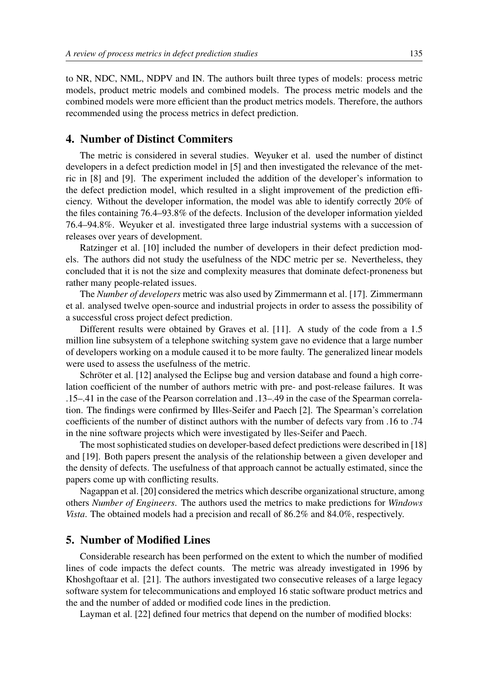to NR, NDC, NML, NDPV and IN. The authors built three types of models: process metric models, product metric models and combined models. The process metric models and the combined models were more efficient than the product metrics models. Therefore, the authors recommended using the process metrics in defect prediction.

## 4. Number of Distinct Commiters

The metric is considered in several studies. Weyuker et al. used the number of distinct developers in a defect prediction model in [5] and then investigated the relevance of the metric in [8] and [9]. The experiment included the addition of the developer's information to the defect prediction model, which resulted in a slight improvement of the prediction efficiency. Without the developer information, the model was able to identify correctly 20% of the files containing 76.4–93.8% of the defects. Inclusion of the developer information yielded 76.4–94.8%. Weyuker et al. investigated three large industrial systems with a succession of releases over years of development.

Ratzinger et al. [10] included the number of developers in their defect prediction models. The authors did not study the usefulness of the NDC metric per se. Nevertheless, they concluded that it is not the size and complexity measures that dominate defect-proneness but rather many people-related issues.

The *Number of developers* metric was also used by Zimmermann et al. [17]. Zimmermann et al. analysed twelve open-source and industrial projects in order to assess the possibility of a successful cross project defect prediction.

Different results were obtained by Graves et al. [11]. A study of the code from a 1.5 million line subsystem of a telephone switching system gave no evidence that a large number of developers working on a module caused it to be more faulty. The generalized linear models were used to assess the usefulness of the metric.

Schröter et al. [12] analysed the Eclipse bug and version database and found a high correlation coefficient of the number of authors metric with pre- and post-release failures. It was .15–.41 in the case of the Pearson correlation and .13–.49 in the case of the Spearman correlation. The findings were confirmed by Illes-Seifer and Paech [2]. The Spearman's correlation coefficients of the number of distinct authors with the number of defects vary from .16 to .74 in the nine software projects which were investigated by lles-Seifer and Paech.

The most sophisticated studies on developer-based defect predictions were described in [18] and [19]. Both papers present the analysis of the relationship between a given developer and the density of defects. The usefulness of that approach cannot be actually estimated, since the papers come up with conflicting results.

Nagappan et al. [20] considered the metrics which describe organizational structure, among others *Number of Engineers*. The authors used the metrics to make predictions for *Windows Vista*. The obtained models had a precision and recall of 86.2% and 84.0%, respectively.

## 5. Number of Modified Lines

Considerable research has been performed on the extent to which the number of modified lines of code impacts the defect counts. The metric was already investigated in 1996 by Khoshgoftaar et al. [21]. The authors investigated two consecutive releases of a large legacy software system for telecommunications and employed 16 static software product metrics and the and the number of added or modified code lines in the prediction.

Layman et al. [22] defined four metrics that depend on the number of modified blocks: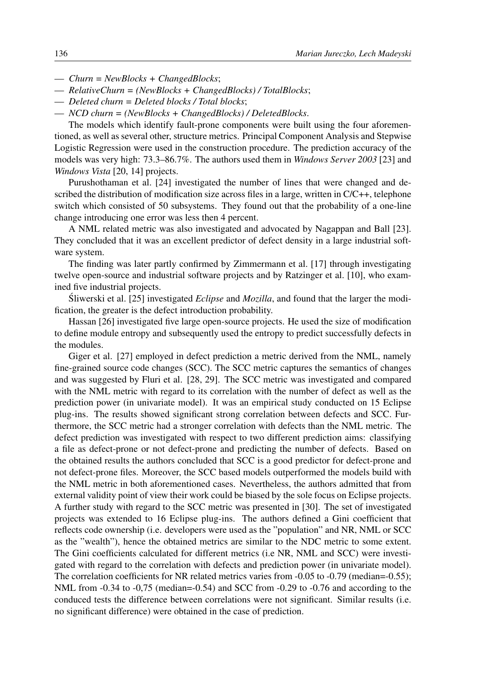- *Churn = NewBlocks + ChangedBlocks*;
- *RelativeChurn = (NewBlocks + ChangedBlocks) / TotalBlocks*;
- *Deleted churn = Deleted blocks / Total blocks*;
- *NCD churn = (NewBlocks + ChangedBlocks) / DeletedBlocks*.

The models which identify fault-prone components were built using the four aforementioned, as well as several other, structure metrics. Principal Component Analysis and Stepwise Logistic Regression were used in the construction procedure. The prediction accuracy of the models was very high: 73.3–86.7%. The authors used them in *Windows Server 2003* [23] and *Windows Vista* [20, 14] projects.

Purushothaman et al. [24] investigated the number of lines that were changed and described the distribution of modification size across files in a large, written in C/C++, telephone switch which consisted of 50 subsystems. They found out that the probability of a one-line change introducing one error was less then 4 percent.

A NML related metric was also investigated and advocated by Nagappan and Ball [23]. They concluded that it was an excellent predictor of defect density in a large industrial software system.

The finding was later partly confirmed by Zimmermann et al. [17] through investigating twelve open-source and industrial software projects and by Ratzinger et al. [10], who examined five industrial projects.

Sliwerski et al. [25] investigated *Eclipse* and *Mozilla*, and found that the larger the modification, the greater is the defect introduction probability.

Hassan [26] investigated five large open-source projects. He used the size of modification to define module entropy and subsequently used the entropy to predict successfully defects in the modules.

Giger et al. [27] employed in defect prediction a metric derived from the NML, namely fine-grained source code changes (SCC). The SCC metric captures the semantics of changes and was suggested by Fluri et al. [28, 29]. The SCC metric was investigated and compared with the NML metric with regard to its correlation with the number of defect as well as the prediction power (in univariate model). It was an empirical study conducted on 15 Eclipse plug-ins. The results showed significant strong correlation between defects and SCC. Furthermore, the SCC metric had a stronger correlation with defects than the NML metric. The defect prediction was investigated with respect to two different prediction aims: classifying a file as defect-prone or not defect-prone and predicting the number of defects. Based on the obtained results the authors concluded that SCC is a good predictor for defect-prone and not defect-prone files. Moreover, the SCC based models outperformed the models build with the NML metric in both aforementioned cases. Nevertheless, the authors admitted that from external validity point of view their work could be biased by the sole focus on Eclipse projects. A further study with regard to the SCC metric was presented in [30]. The set of investigated projects was extended to 16 Eclipse plug-ins. The authors defined a Gini coefficient that reflects code ownership (i.e. developers were used as the "population" and NR, NML or SCC as the "wealth"), hence the obtained metrics are similar to the NDC metric to some extent. The Gini coefficients calculated for different metrics (i.e NR, NML and SCC) were investigated with regard to the correlation with defects and prediction power (in univariate model). The correlation coefficients for NR related metrics varies from -0.05 to -0.79 (median=-0.55); NML from  $-0.34$  to  $-0.75$  (median= $-0.54$ ) and SCC from  $-0.29$  to  $-0.76$  and according to the conduced tests the difference between correlations were not significant. Similar results (i.e. no significant difference) were obtained in the case of prediction.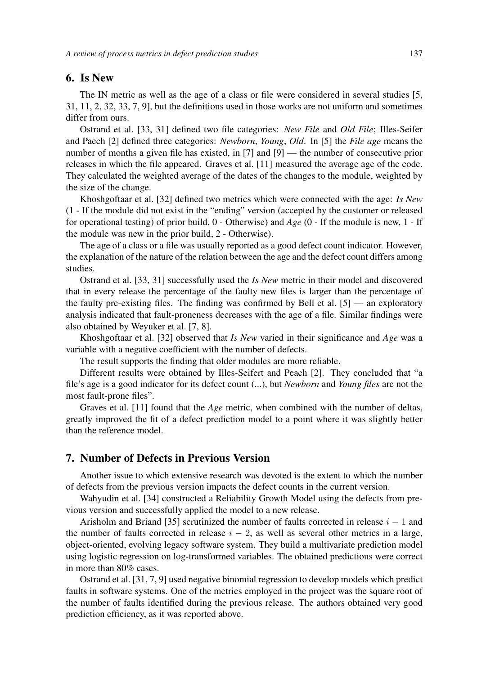#### 6. Is New

The IN metric as well as the age of a class or file were considered in several studies [5, 31, 11, 2, 32, 33, 7, 9], but the definitions used in those works are not uniform and sometimes differ from ours.

Ostrand et al. [33, 31] defined two file categories: *New File* and *Old File*; Illes-Seifer and Paech [2] defined three categories: *Newborn*, *Young*, *Old*. In [5] the *File age* means the number of months a given file has existed, in [7] and [9] — the number of consecutive prior releases in which the file appeared. Graves et al. [11] measured the average age of the code. They calculated the weighted average of the dates of the changes to the module, weighted by the size of the change.

Khoshgoftaar et al. [32] defined two metrics which were connected with the age: *Is New* (1 - If the module did not exist in the "ending" version (accepted by the customer or released for operational testing) of prior build, 0 - Otherwise) and *Age* (0 - If the module is new, 1 - If the module was new in the prior build, 2 - Otherwise).

The age of a class or a file was usually reported as a good defect count indicator. However, the explanation of the nature of the relation between the age and the defect count differs among studies.

Ostrand et al. [33, 31] successfully used the *Is New* metric in their model and discovered that in every release the percentage of the faulty new files is larger than the percentage of the faulty pre-existing files. The finding was confirmed by Bell et al. [5] — an exploratory analysis indicated that fault-proneness decreases with the age of a file. Similar findings were also obtained by Weyuker et al. [7, 8].

Khoshgoftaar et al. [32] observed that *Is New* varied in their significance and *Age* was a variable with a negative coefficient with the number of defects.

The result supports the finding that older modules are more reliable.

Different results were obtained by Illes-Seifert and Peach [2]. They concluded that "a file's age is a good indicator for its defect count (...), but *Newborn* and *Young files* are not the most fault-prone files".

Graves et al. [11] found that the *Age* metric, when combined with the number of deltas, greatly improved the fit of a defect prediction model to a point where it was slightly better than the reference model.

## 7. Number of Defects in Previous Version

Another issue to which extensive research was devoted is the extent to which the number of defects from the previous version impacts the defect counts in the current version.

Wahyudin et al. [34] constructed a Reliability Growth Model using the defects from previous version and successfully applied the model to a new release.

Arisholm and Briand [35] scrutinized the number of faults corrected in release  $i - 1$  and the number of faults corrected in release  $i - 2$ , as well as several other metrics in a large, object-oriented, evolving legacy software system. They build a multivariate prediction model using logistic regression on log-transformed variables. The obtained predictions were correct in more than 80% cases.

Ostrand et al. [31, 7, 9] used negative binomial regression to develop models which predict faults in software systems. One of the metrics employed in the project was the square root of the number of faults identified during the previous release. The authors obtained very good prediction efficiency, as it was reported above.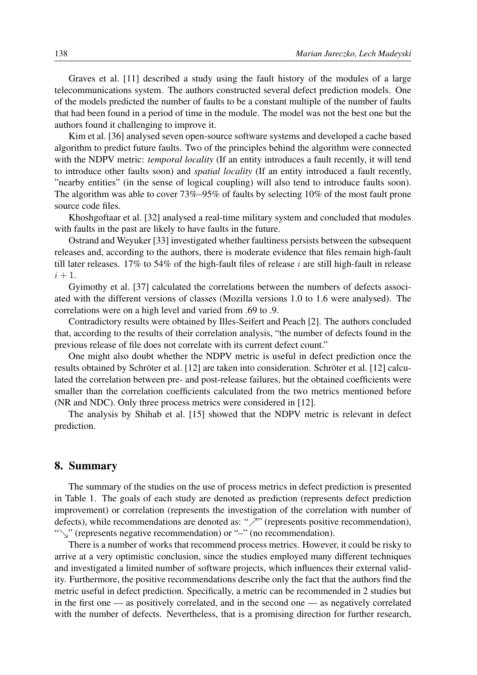Graves et al. [11] described a study using the fault history of the modules of a large telecommunications system. The authors constructed several defect prediction models. One of the models predicted the number of faults to be a constant multiple of the number of faults that had been found in a period of time in the module. The model was not the best one but the authors found it challenging to improve it.

Kim et al. [36] analysed seven open-source software systems and developed a cache based algorithm to predict future faults. Two of the principles behind the algorithm were connected with the NDPV metric: *temporal locality* (If an entity introduces a fault recently, it will tend to introduce other faults soon) and *spatial locality* (If an entity introduced a fault recently, "nearby entities" (in the sense of logical coupling) will also tend to introduce faults soon). The algorithm was able to cover 73%–95% of faults by selecting 10% of the most fault prone source code files.

Khoshgoftaar et al. [32] analysed a real-time military system and concluded that modules with faults in the past are likely to have faults in the future.

Ostrand and Weyuker [33] investigated whether faultiness persists between the subsequent releases and, according to the authors, there is moderate evidence that files remain high-fault till later releases. 17% to 54% of the high-fault files of release *i* are still high-fault in release  $i + 1$ .

Gyimothy et al. [37] calculated the correlations between the numbers of defects associated with the different versions of classes (Mozilla versions 1.0 to 1.6 were analysed). The correlations were on a high level and varied from .69 to .9.

Contradictory results were obtained by Illes-Seifert and Peach [2]. The authors concluded that, according to the results of their correlation analysis, "the number of defects found in the previous release of file does not correlate with its current defect count."

One might also doubt whether the NDPV metric is useful in defect prediction once the results obtained by Schröter et al. [12] are taken into consideration. Schröter et al. [12] calculated the correlation between pre- and post-release failures, but the obtained coefficients were smaller than the correlation coefficients calculated from the two metrics mentioned before (NR and NDC). Only three process metrics were considered in [12].

The analysis by Shihab et al. [15] showed that the NDPV metric is relevant in defect prediction.

#### 8. Summary

The summary of the studies on the use of process metrics in defect prediction is presented in Table 1. The goals of each study are denoted as prediction (represents defect prediction improvement) or correlation (represents the investigation of the correlation with number of defects), while recommendations are denoted as: " $\nearrow$ " (represents positive recommendation), "\"' (represents negative recommendation) or "-" (no recommendation).

There is a number of works that recommend process metrics. However, it could be risky to arrive at a very optimistic conclusion, since the studies employed many different techniques and investigated a limited number of software projects, which influences their external validity. Furthermore, the positive recommendations describe only the fact that the authors find the metric useful in defect prediction. Specifically, a metric can be recommended in 2 studies but in the first one — as positively correlated, and in the second one — as negatively correlated with the number of defects. Nevertheless, that is a promising direction for further research,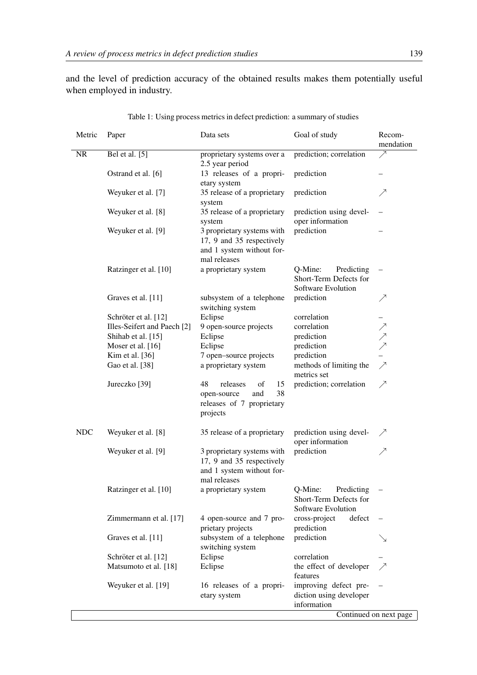and the level of prediction accuracy of the obtained results makes them potentially useful when employed in industry.

| Metric     | Paper                       | Data sets                                                                                            | Goal of study                                                         | Recom-<br>mendation      |
|------------|-----------------------------|------------------------------------------------------------------------------------------------------|-----------------------------------------------------------------------|--------------------------|
| <b>NR</b>  | Bel et al. $\overline{[5]}$ | proprietary systems over a<br>2.5 year period                                                        | prediction; correlation                                               |                          |
|            | Ostrand et al. [6]          | 13 releases of a propri-<br>etary system                                                             | prediction                                                            |                          |
|            | Weyuker et al. [7]          | 35 release of a proprietary<br>system                                                                | prediction                                                            |                          |
|            | Weyuker et al. [8]          | 35 release of a proprietary<br>system                                                                | prediction using devel-<br>oper information                           |                          |
|            | Weyuker et al. [9]          | 3 proprietary systems with<br>17, 9 and 35 respectively<br>and 1 system without for-<br>mal releases | prediction                                                            |                          |
|            | Ratzinger et al. [10]       | a proprietary system                                                                                 | Q-Mine:<br>Predicting<br>Short-Term Defects for<br>Software Evolution |                          |
|            | Graves et al. [11]          | subsystem of a telephone<br>switching system                                                         | prediction                                                            |                          |
|            | Schröter et al. [12]        | Eclipse                                                                                              | correlation                                                           |                          |
|            | Illes-Seifert and Paech [2] | 9 open-source projects                                                                               | correlation                                                           | ノノノ                      |
|            | Shihab et al. [15]          | Eclipse                                                                                              | prediction                                                            |                          |
|            | Moser et al. [16]           | Eclipse                                                                                              | prediction                                                            |                          |
|            | Kim et al. [36]             | 7 open-source projects                                                                               | prediction                                                            |                          |
|            | Gao et al. [38]             | a proprietary system                                                                                 | methods of limiting the<br>metrics set                                | $\overline{\phantom{0}}$ |
|            | Jureczko [39]               | 48<br>releases<br>15<br>οf<br>38<br>open-source<br>and<br>releases of 7 proprietary<br>projects      | prediction; correlation                                               | ↗                        |
| <b>NDC</b> | Weyuker et al. [8]          | 35 release of a proprietary                                                                          | prediction using devel-<br>oper information                           |                          |
|            | Weyuker et al. [9]          | 3 proprietary systems with<br>17, 9 and 35 respectively<br>and 1 system without for-<br>mal releases | prediction                                                            |                          |
|            | Ratzinger et al. [10]       | a proprietary system                                                                                 | Q-Mine:<br>Predicting<br>Short-Term Defects for<br>Software Evolution |                          |
|            | Zimmermann et al. [17]      | 4 open-source and 7 pro-<br>prietary projects                                                        | cross-project<br>defect<br>prediction                                 |                          |
|            | Graves et al. [11]          | subsystem of a telephone<br>switching system                                                         | prediction                                                            |                          |
|            | Schröter et al. [12]        | Eclipse                                                                                              | correlation                                                           |                          |
|            | Matsumoto et al. [18]       | Eclipse                                                                                              | the effect of developer<br>features                                   |                          |
|            | Weyuker et al. [19]         | 16 releases of a propri-<br>etary system                                                             | improving defect pre-<br>diction using developer<br>information       | Continued on next page   |

| Table 1: Using process metrics in defect prediction: a summary of studies |  |  |  |
|---------------------------------------------------------------------------|--|--|--|
|                                                                           |  |  |  |

Continued on next page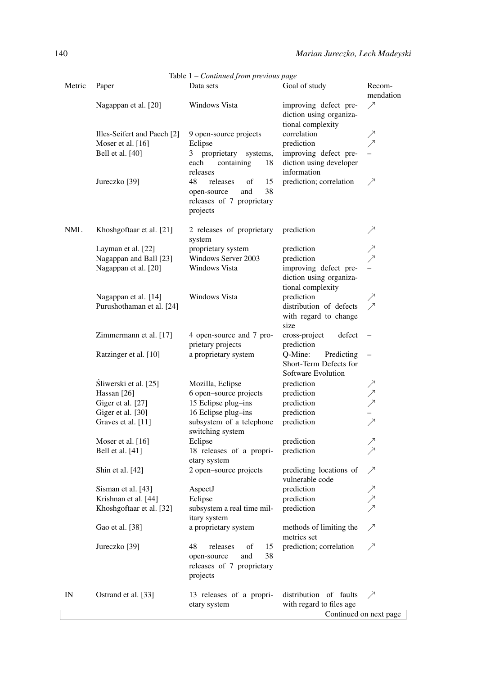|            |                                                   | Table $1$ – Continued from previous page                                                        |                                                                       |                     |
|------------|---------------------------------------------------|-------------------------------------------------------------------------------------------------|-----------------------------------------------------------------------|---------------------|
| Metric     | Paper                                             | Data sets                                                                                       | Goal of study                                                         | Recom-<br>mendation |
|            | Nagappan et al. [20]                              | <b>Windows Vista</b>                                                                            | improving defect pre-<br>diction using organiza-<br>tional complexity | ↗                   |
|            | Illes-Seifert and Paech [2]                       | 9 open-source projects                                                                          | correlation                                                           |                     |
|            | Moser et al. [16]                                 | Eclipse                                                                                         | prediction                                                            |                     |
|            | Bell et al. [40]                                  | proprietary<br>systems,<br>3                                                                    | improving defect pre-                                                 |                     |
|            |                                                   | each<br>containing<br>18                                                                        | diction using developer                                               |                     |
|            |                                                   | releases                                                                                        | information                                                           |                     |
|            | Jureczko [39]                                     | 48<br>releases<br>15<br>of<br>38<br>open-source<br>and<br>releases of 7 proprietary<br>projects | prediction; correlation                                               | ↗                   |
| <b>NML</b> | Khoshgoftaar et al. [21]                          | 2 releases of proprietary<br>system                                                             | prediction                                                            |                     |
|            | Layman et al. [22]                                | proprietary system                                                                              | prediction                                                            |                     |
|            | Nagappan and Ball [23]                            | Windows Server 2003                                                                             | prediction                                                            | ノヌ                  |
|            | Nagappan et al. [20]                              | Windows Vista                                                                                   | improving defect pre-<br>diction using organiza-                      |                     |
|            |                                                   | Windows Vista                                                                                   | tional complexity                                                     |                     |
|            | Nagappan et al. [14]<br>Purushothaman et al. [24] |                                                                                                 | prediction<br>distribution of defects                                 | $\geq$              |
|            |                                                   |                                                                                                 | with regard to change<br>size                                         |                     |
|            | Zimmermann et al. [17]                            | 4 open-source and 7 pro-<br>prietary projects                                                   | cross-project<br>defect<br>prediction                                 |                     |
|            | Ratzinger et al. [10]                             | a proprietary system                                                                            | Q-Mine:<br>Predicting<br>Short-Term Defects for<br>Software Evolution |                     |
|            | Śliwerski et al. [25]                             | Mozilla, Eclipse                                                                                | prediction                                                            |                     |
|            | Hassan [26]                                       | 6 open-source projects                                                                          | prediction                                                            |                     |
|            | Giger et al. [27]                                 | 15 Eclipse plug-ins                                                                             | prediction                                                            |                     |
|            | Giger et al. [30]                                 | 16 Eclipse plug-ins                                                                             | prediction                                                            |                     |
|            | Graves et al. [11]                                | subsystem of a telephone<br>switching system                                                    | prediction                                                            |                     |
|            | Moser et al. [16]                                 | Eclipse                                                                                         | prediction                                                            |                     |
|            | Bell et al. [41]                                  | 18 releases of a propri-<br>etary system                                                        | prediction                                                            |                     |
|            | Shin et al. [42]                                  | 2 open-source projects                                                                          | predicting locations of<br>vulnerable code                            | ╱                   |
|            | Sisman et al. [43]                                | AspectJ                                                                                         | prediction                                                            |                     |
|            | Krishnan et al. [44]                              | Eclipse                                                                                         | prediction                                                            | ノノノ                 |
|            | Khoshgoftaar et al. [32]                          | subsystem a real time mil-<br>itary system                                                      | prediction                                                            |                     |
|            | Gao et al. [38]                                   | a proprietary system                                                                            | methods of limiting the<br>metrics set                                | ↗                   |
|            | Jureczko [39]                                     | 48<br>releases<br>of<br>15<br>and<br>38<br>open-source<br>releases of 7 proprietary<br>projects | prediction; correlation                                               | ↗                   |
| IN         | Ostrand et al. [33]                               | 13 releases of a propri-                                                                        | distribution of faults                                                |                     |
|            |                                                   | etary system                                                                                    | with regard to files age                                              |                     |
|            |                                                   |                                                                                                 | Continued on next page                                                |                     |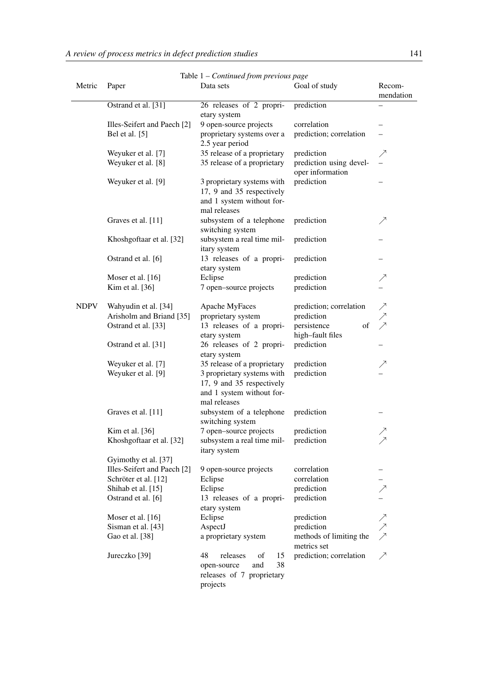|             | Table 1 - Continued from previous page        |                                                                                                      |                                             |                     |  |
|-------------|-----------------------------------------------|------------------------------------------------------------------------------------------------------|---------------------------------------------|---------------------|--|
| Metric      | Paper                                         | Data sets                                                                                            | Goal of study                               | Recom-<br>mendation |  |
|             | Ostrand et al. [31]                           | 26 releases of 2 propri-                                                                             | prediction                                  |                     |  |
|             |                                               | etary system                                                                                         |                                             |                     |  |
|             | Illes-Seifert and Paech [2]<br>Bel et al. [5] | 9 open-source projects                                                                               | correlation                                 |                     |  |
|             |                                               | proprietary systems over a<br>2.5 year period                                                        | prediction; correlation                     |                     |  |
|             | Weyuker et al. [7]                            | 35 release of a proprietary                                                                          | prediction                                  |                     |  |
|             | Weyuker et al. [8]                            | 35 release of a proprietary                                                                          | prediction using devel-<br>oper information |                     |  |
|             | Weyuker et al. [9]                            | 3 proprietary systems with<br>17, 9 and 35 respectively<br>and 1 system without for-<br>mal releases | prediction                                  |                     |  |
|             | Graves et al. [11]                            | subsystem of a telephone<br>switching system                                                         | prediction                                  | ↗                   |  |
|             | Khoshgoftaar et al. [32]                      | subsystem a real time mil-<br>itary system                                                           | prediction                                  |                     |  |
|             | Ostrand et al. [6]                            | 13 releases of a propri-<br>etary system                                                             | prediction                                  |                     |  |
|             | Moser et al. [16]                             | Eclipse                                                                                              | prediction                                  |                     |  |
|             | Kim et al. [36]                               | 7 open-source projects                                                                               | prediction                                  |                     |  |
| <b>NDPV</b> | Wahyudin et al. [34]                          | Apache MyFaces                                                                                       | prediction; correlation                     | ノノノ                 |  |
|             | Arisholm and Briand [35]                      | proprietary system                                                                                   | prediction                                  |                     |  |
|             | Ostrand et al. [33]                           | 13 releases of a propri-                                                                             | of<br>persistence                           |                     |  |
|             |                                               | etary system                                                                                         | high-fault files                            |                     |  |
|             | Ostrand et al. [31]                           | 26 releases of 2 propri-<br>etary system                                                             | prediction                                  |                     |  |
|             | Weyuker et al. [7]                            | 35 release of a proprietary                                                                          | prediction                                  |                     |  |
|             | Weyuker et al. [9]                            | 3 proprietary systems with<br>17, 9 and 35 respectively<br>and 1 system without for-<br>mal releases | prediction                                  |                     |  |
|             | Graves et al. [11]                            | subsystem of a telephone<br>switching system                                                         | prediction                                  |                     |  |
|             | Kim et al. [36]                               | 7 open-source projects                                                                               | prediction                                  | $\nearrow$          |  |
|             | Khoshgoftaar et al. [32]                      | subsystem a real time mil- prediction<br>itary system                                                |                                             | ↗                   |  |
|             | Gyimothy et al. [37]                          |                                                                                                      |                                             |                     |  |
|             | Illes-Seifert and Paech [2]                   | 9 open-source projects                                                                               | correlation                                 |                     |  |
|             | Schröter et al. [12]                          | Eclipse                                                                                              | correlation                                 |                     |  |
|             | Shihab et al. [15]                            | Eclipse                                                                                              | prediction                                  |                     |  |
|             | Ostrand et al. [6]                            | 13 releases of a propri-<br>etary system                                                             | prediction                                  |                     |  |
|             | Moser et al. [16]                             | Eclipse                                                                                              | prediction                                  |                     |  |
|             | Sisman et al. [43]                            | AspectJ                                                                                              | prediction                                  |                     |  |
|             | Gao et al. [38]                               | a proprietary system                                                                                 | methods of limiting the<br>metrics set      | ノノノ                 |  |
|             | Jureczko [39]                                 | 48<br>releases<br>of<br>15<br>38<br>open-source<br>and<br>releases of 7 proprietary<br>projects      | prediction; correlation                     |                     |  |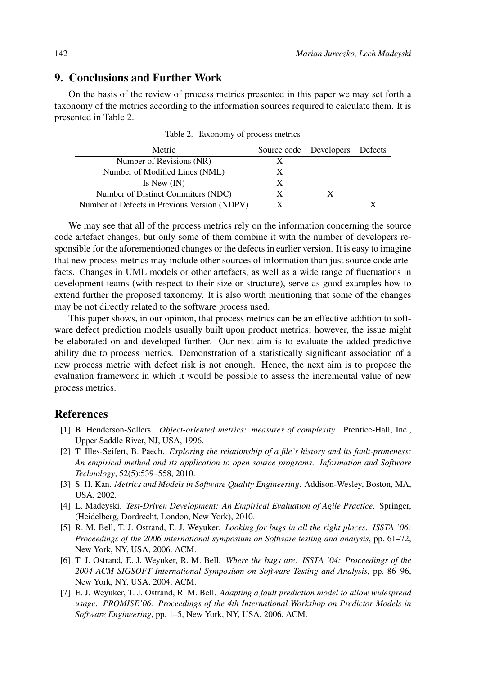# 9. Conclusions and Further Work

On the basis of the review of process metrics presented in this paper we may set forth a taxonomy of the metrics according to the information sources required to calculate them. It is presented in Table 2.

| Metric                                       |   | Source code Developers Defects |  |
|----------------------------------------------|---|--------------------------------|--|
| Number of Revisions (NR)                     | X |                                |  |
| Number of Modified Lines (NML)               | X |                                |  |
| Is New $(IN)$                                | X |                                |  |
| Number of Distinct Commiters (NDC)           | X |                                |  |
| Number of Defects in Previous Version (NDPV) | X |                                |  |

Table 2. Taxonomy of process metrics

We may see that all of the process metrics rely on the information concerning the source code artefact changes, but only some of them combine it with the number of developers responsible for the aforementioned changes or the defects in earlier version. It is easy to imagine that new process metrics may include other sources of information than just source code artefacts. Changes in UML models or other artefacts, as well as a wide range of fluctuations in development teams (with respect to their size or structure), serve as good examples how to extend further the proposed taxonomy. It is also worth mentioning that some of the changes may be not directly related to the software process used.

This paper shows, in our opinion, that process metrics can be an effective addition to software defect prediction models usually built upon product metrics; however, the issue might be elaborated on and developed further. Our next aim is to evaluate the added predictive ability due to process metrics. Demonstration of a statistically significant association of a new process metric with defect risk is not enough. Hence, the next aim is to propose the evaluation framework in which it would be possible to assess the incremental value of new process metrics.

#### References

- [1] B. Henderson-Sellers. *Object-oriented metrics: measures of complexity*. Prentice-Hall, Inc., Upper Saddle River, NJ, USA, 1996.
- [2] T. Illes-Seifert, B. Paech. *Exploring the relationship of a file's history and its fault-proneness: An empirical method and its application to open source programs*. *Information and Software Technology*, 52(5):539–558, 2010.
- [3] S. H. Kan. *Metrics and Models in Software Quality Engineering*. Addison-Wesley, Boston, MA, USA, 2002.
- [4] L. Madeyski. *Test-Driven Development: An Empirical Evaluation of Agile Practice*. Springer, (Heidelberg, Dordrecht, London, New York), 2010.
- [5] R. M. Bell, T. J. Ostrand, E. J. Weyuker. *Looking for bugs in all the right places*. *ISSTA '06: Proceedings of the 2006 international symposium on Software testing and analysis*, pp. 61–72, New York, NY, USA, 2006. ACM.
- [6] T. J. Ostrand, E. J. Weyuker, R. M. Bell. *Where the bugs are*. *ISSTA '04: Proceedings of the 2004 ACM SIGSOFT International Symposium on Software Testing and Analysis*, pp. 86–96, New York, NY, USA, 2004. ACM.
- [7] E. J. Weyuker, T. J. Ostrand, R. M. Bell. *Adapting a fault prediction model to allow widespread usage*. *PROMISE'06: Proceedings of the 4th International Workshop on Predictor Models in Software Engineering*, pp. 1–5, New York, NY, USA, 2006. ACM.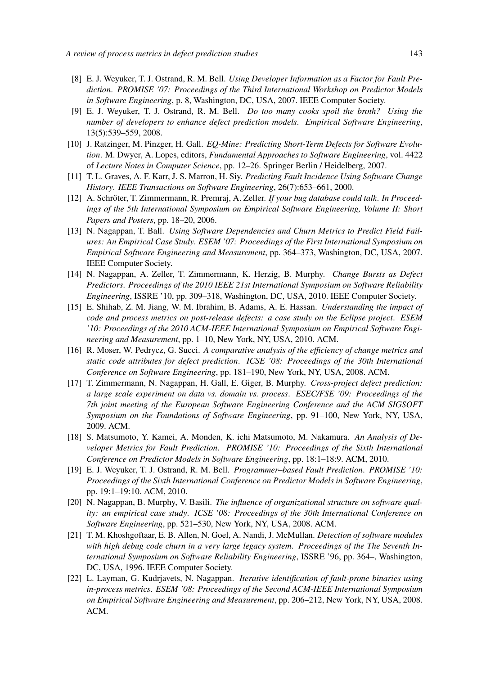- [8] E. J. Weyuker, T. J. Ostrand, R. M. Bell. *Using Developer Information as a Factor for Fault Prediction*. *PROMISE '07: Proceedings of the Third International Workshop on Predictor Models in Software Engineering*, p. 8, Washington, DC, USA, 2007. IEEE Computer Society.
- [9] E. J. Weyuker, T. J. Ostrand, R. M. Bell. *Do too many cooks spoil the broth? Using the number of developers to enhance defect prediction models*. *Empirical Software Engineering*, 13(5):539–559, 2008.
- [10] J. Ratzinger, M. Pinzger, H. Gall. *EQ-Mine: Predicting Short-Term Defects for Software Evolution*. M. Dwyer, A. Lopes, editors, *Fundamental Approaches to Software Engineering*, vol. 4422 of *Lecture Notes in Computer Science*, pp. 12–26. Springer Berlin / Heidelberg, 2007.
- [11] T. L. Graves, A. F. Karr, J. S. Marron, H. Siy. *Predicting Fault Incidence Using Software Change History*. *IEEE Transactions on Software Engineering*, 26(7):653–661, 2000.
- [12] A. Schröter, T. Zimmermann, R. Premraj, A. Zeller. *If your bug database could talk. In Proceedings of the 5th International Symposium on Empirical Software Engineering, Volume II: Short Papers and Posters*, pp. 18–20, 2006.
- [13] N. Nagappan, T. Ball. *Using Software Dependencies and Churn Metrics to Predict Field Failures: An Empirical Case Study*. *ESEM '07: Proceedings of the First International Symposium on Empirical Software Engineering and Measurement*, pp. 364–373, Washington, DC, USA, 2007. IEEE Computer Society.
- [14] N. Nagappan, A. Zeller, T. Zimmermann, K. Herzig, B. Murphy. *Change Bursts as Defect Predictors*. *Proceedings of the 2010 IEEE 21st International Symposium on Software Reliability Engineering*, ISSRE '10, pp. 309–318, Washington, DC, USA, 2010. IEEE Computer Society.
- [15] E. Shihab, Z. M. Jiang, W. M. Ibrahim, B. Adams, A. E. Hassan. *Understanding the impact of code and process metrics on post-release defects: a case study on the Eclipse project*. *ESEM '10: Proceedings of the 2010 ACM-IEEE International Symposium on Empirical Software Engineering and Measurement*, pp. 1–10, New York, NY, USA, 2010. ACM.
- [16] R. Moser, W. Pedrycz, G. Succi. *A comparative analysis of the efficiency of change metrics and static code attributes for defect prediction*. *ICSE '08: Proceedings of the 30th International Conference on Software Engineering*, pp. 181–190, New York, NY, USA, 2008. ACM.
- [17] T. Zimmermann, N. Nagappan, H. Gall, E. Giger, B. Murphy. *Cross-project defect prediction: a large scale experiment on data vs. domain vs. process*. *ESEC/FSE '09: Proceedings of the 7th joint meeting of the European Software Engineering Conference and the ACM SIGSOFT Symposium on the Foundations of Software Engineering*, pp. 91–100, New York, NY, USA, 2009. ACM.
- [18] S. Matsumoto, Y. Kamei, A. Monden, K. ichi Matsumoto, M. Nakamura. *An Analysis of Developer Metrics for Fault Prediction*. *PROMISE '10: Proceedings of the Sixth International Conference on Predictor Models in Software Engineering*, pp. 18:1–18:9. ACM, 2010.
- [19] E. J. Weyuker, T. J. Ostrand, R. M. Bell. *Programmer–based Fault Prediction*. *PROMISE '10: Proceedings of the Sixth International Conference on Predictor Models in Software Engineering*, pp. 19:1–19:10. ACM, 2010.
- [20] N. Nagappan, B. Murphy, V. Basili. *The influence of organizational structure on software quality: an empirical case study*. *ICSE '08: Proceedings of the 30th International Conference on Software Engineering*, pp. 521–530, New York, NY, USA, 2008. ACM.
- [21] T. M. Khoshgoftaar, E. B. Allen, N. Goel, A. Nandi, J. McMullan. *Detection of software modules with high debug code churn in a very large legacy system*. *Proceedings of the The Seventh International Symposium on Software Reliability Engineering*, ISSRE '96, pp. 364–, Washington, DC, USA, 1996. IEEE Computer Society.
- [22] L. Layman, G. Kudrjavets, N. Nagappan. *Iterative identification of fault-prone binaries using in-process metrics*. *ESEM '08: Proceedings of the Second ACM-IEEE International Symposium on Empirical Software Engineering and Measurement*, pp. 206–212, New York, NY, USA, 2008. ACM.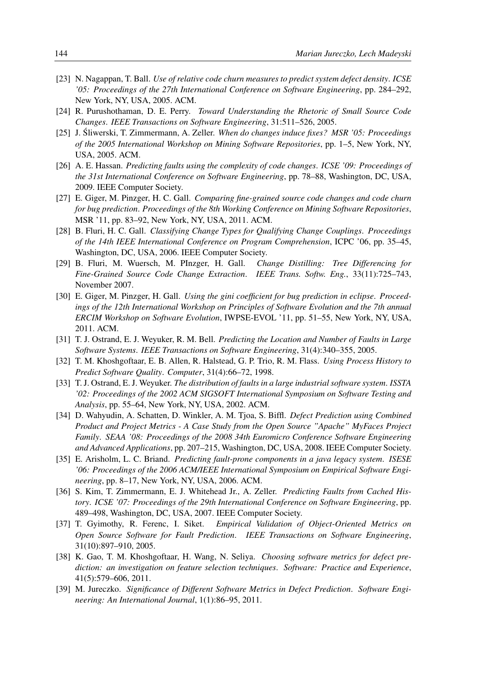- [23] N. Nagappan, T. Ball. *Use of relative code churn measures to predict system defect density*. *ICSE '05: Proceedings of the 27th International Conference on Software Engineering*, pp. 284–292, New York, NY, USA, 2005. ACM.
- [24] R. Purushothaman, D. E. Perry. *Toward Understanding the Rhetoric of Small Source Code Changes*. *IEEE Transactions on Software Engineering*, 31:511–526, 2005.
- [25] J. Śliwerski, T. Zimmermann, A. Zeller. When do changes induce fixes? MSR '05: Proceedings *of the 2005 International Workshop on Mining Software Repositories*, pp. 1–5, New York, NY, USA, 2005. ACM.
- [26] A. E. Hassan. *Predicting faults using the complexity of code changes*. *ICSE '09: Proceedings of the 31st International Conference on Software Engineering*, pp. 78–88, Washington, DC, USA, 2009. IEEE Computer Society.
- [27] E. Giger, M. Pinzger, H. C. Gall. *Comparing fine-grained source code changes and code churn for bug prediction*. *Proceedings of the 8th Working Conference on Mining Software Repositories*, MSR '11, pp. 83–92, New York, NY, USA, 2011. ACM.
- [28] B. Fluri, H. C. Gall. *Classifying Change Types for Qualifying Change Couplings*. *Proceedings of the 14th IEEE International Conference on Program Comprehension*, ICPC '06, pp. 35–45, Washington, DC, USA, 2006. IEEE Computer Society.
- [29] B. Fluri, M. Wuersch, M. PInzger, H. Gall. *Change Distilling: Tree Differencing for Fine-Grained Source Code Change Extraction*. *IEEE Trans. Softw. Eng.*, 33(11):725–743, November 2007.
- [30] E. Giger, M. Pinzger, H. Gall. *Using the gini coefficient for bug prediction in eclipse*. *Proceedings of the 12th International Workshop on Principles of Software Evolution and the 7th annual ERCIM Workshop on Software Evolution*, IWPSE-EVOL '11, pp. 51–55, New York, NY, USA, 2011. ACM.
- [31] T. J. Ostrand, E. J. Weyuker, R. M. Bell. *Predicting the Location and Number of Faults in Large Software Systems*. *IEEE Transactions on Software Engineering*, 31(4):340–355, 2005.
- [32] T. M. Khoshgoftaar, E. B. Allen, R. Halstead, G. P. Trio, R. M. Flass. *Using Process History to Predict Software Quality*. *Computer*, 31(4):66–72, 1998.
- [33] T. J. Ostrand, E. J. Weyuker. *The distribution of faults in a large industrial software system*. *ISSTA '02: Proceedings of the 2002 ACM SIGSOFT International Symposium on Software Testing and Analysis*, pp. 55–64, New York, NY, USA, 2002. ACM.
- [34] D. Wahyudin, A. Schatten, D. Winkler, A. M. Tjoa, S. Biffl. *Defect Prediction using Combined Product and Project Metrics - A Case Study from the Open Source "Apache" MyFaces Project Family*. *SEAA '08: Proceedings of the 2008 34th Euromicro Conference Software Engineering and Advanced Applications*, pp. 207–215, Washington, DC, USA, 2008. IEEE Computer Society.
- [35] E. Arisholm, L. C. Briand. *Predicting fault-prone components in a java legacy system*. *ISESE '06: Proceedings of the 2006 ACM/IEEE International Symposium on Empirical Software Engineering*, pp. 8–17, New York, NY, USA, 2006. ACM.
- [36] S. Kim, T. Zimmermann, E. J. Whitehead Jr., A. Zeller. *Predicting Faults from Cached History*. *ICSE '07: Proceedings of the 29th International Conference on Software Engineering*, pp. 489–498, Washington, DC, USA, 2007. IEEE Computer Society.
- [37] T. Gyimothy, R. Ferenc, I. Siket. *Empirical Validation of Object-Oriented Metrics on Open Source Software for Fault Prediction*. *IEEE Transactions on Software Engineering*, 31(10):897–910, 2005.
- [38] K. Gao, T. M. Khoshgoftaar, H. Wang, N. Seliya. *Choosing software metrics for defect prediction: an investigation on feature selection techniques*. *Software: Practice and Experience*, 41(5):579–606, 2011.
- [39] M. Jureczko. *Significance of Different Software Metrics in Defect Prediction*. *Software Engineering: An International Journal*, 1(1):86–95, 2011.